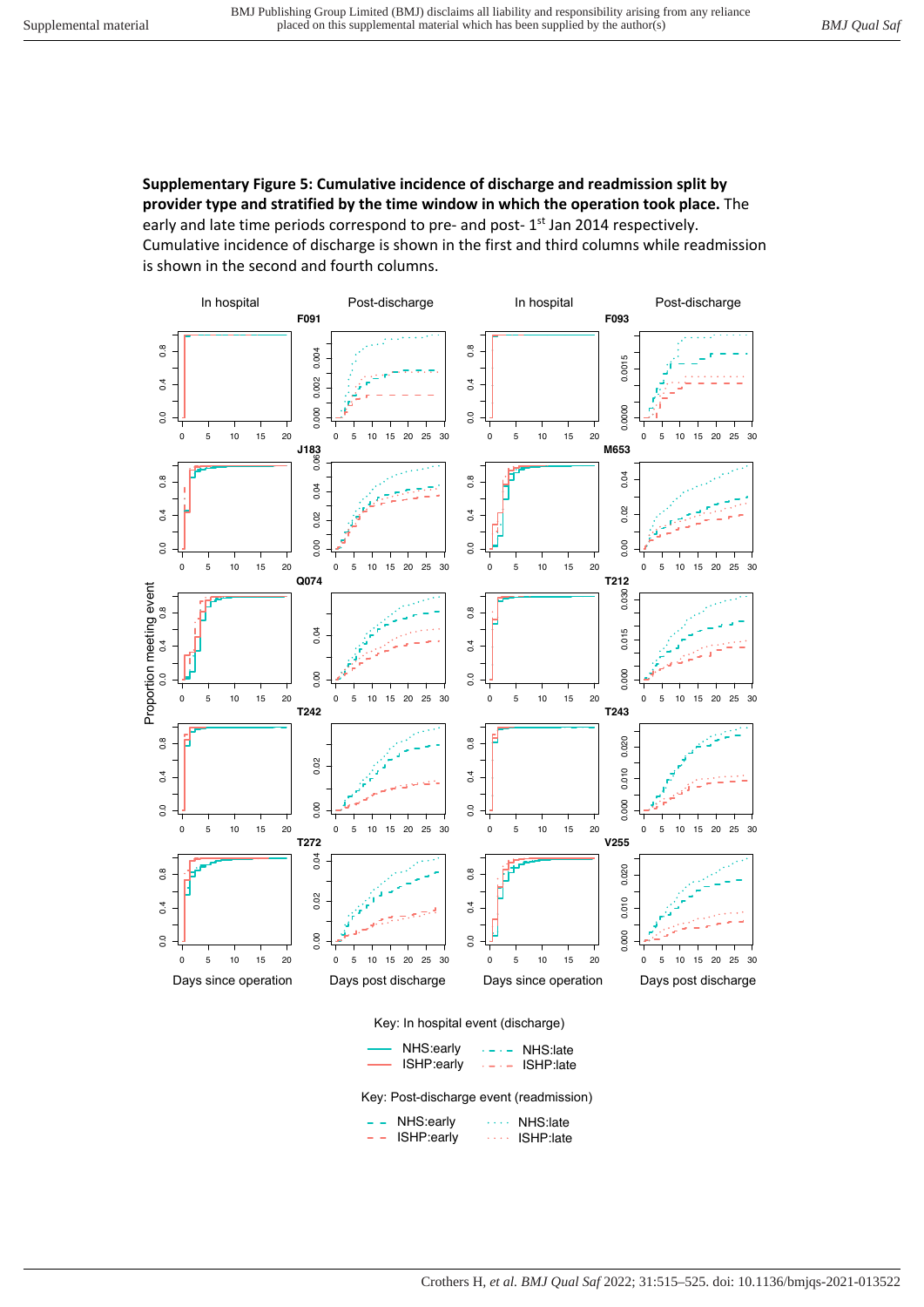**Supplementary Figure 5: Cumulative incidence of discharge and readmission split by provider type and stratified by the time window in which the operation took place.** The early and late time periods correspond to pre- and post-1<sup>st</sup> Jan 2014 respectively. Cumulative incidence of discharge is shown in the first and third columns while readmission is shown in the second and fourth columns.